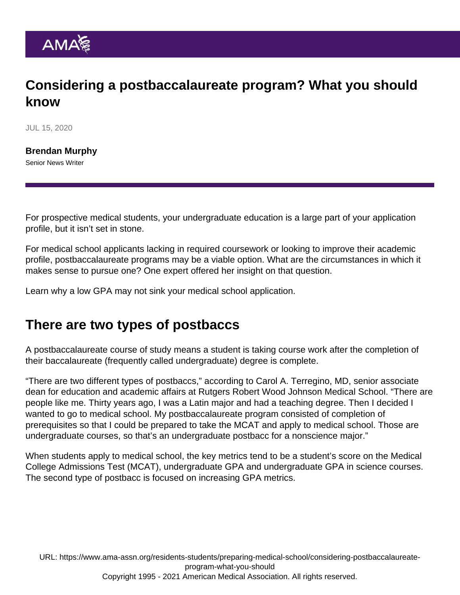## Considering a postbaccalaureate program? What you should know

JUL 15, 2020

[Brendan Murphy](https://www.ama-assn.org/news-leadership-viewpoints/authors-news-leadership-viewpoints/brendan-murphy) Senior News Writer

For prospective medical students, your undergraduate education is a large part of your application profile, but it isn't set in stone.

For medical school applicants lacking in required coursework or looking to improve their academic profile, postbaccalaureate programs may be a viable option. What are the circumstances in which it makes sense to pursue one? One expert offered her insight on that question.

Learn [why a low GPA may not sink your medical school application](https://www.ama-assn.org/residents-students/preparing-medical-school/why-low-gpa-may-not-sink-your-medical-school).

## There are two types of postbaccs

A postbaccalaureate course of study means a student is taking course work after the completion of their baccalaureate (frequently called undergraduate) degree is complete.

"There are two different types of postbaccs," according to Carol A. Terregino, MD, senior associate dean for education and academic affairs at Rutgers Robert Wood Johnson Medical School. "There are people like me. Thirty years ago, I was a Latin major and had a teaching degree. Then I decided I wanted to go to medical school. My postbaccalaureate program consisted of completion of prerequisites so that I could be prepared to take the MCAT and apply to medical school. Those are undergraduate courses, so that's an undergraduate postbacc for a nonscience major."

When students apply to medical school, the key metrics tend to be a student's score on the Medical College Admissions Test (MCAT), undergraduate GPA and undergraduate GPA in science courses. The second type of postbacc is focused on increasing GPA metrics.

URL: [https://www.ama-assn.org/residents-students/preparing-medical-school/considering-postbaccalaureate](https://www.ama-assn.org/residents-students/preparing-medical-school/considering-postbaccalaureate-program-what-you-should)[program-what-you-should](https://www.ama-assn.org/residents-students/preparing-medical-school/considering-postbaccalaureate-program-what-you-should) Copyright 1995 - 2021 American Medical Association. All rights reserved.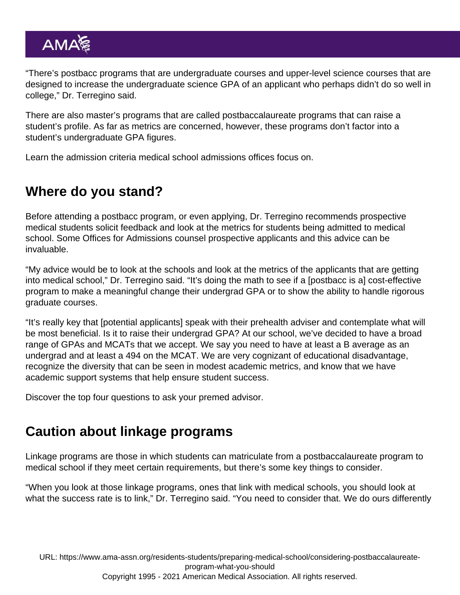"There's postbacc programs that are undergraduate courses and upper-level science courses that are designed to increase the undergraduate science GPA of an applicant who perhaps didn't do so well in college," Dr. Terregino said.

There are also master's programs that are called postbaccalaureate programs that can raise a student's profile. As far as metrics are concerned, however, these programs don't factor into a student's undergraduate GPA figures.

Learn the [admission criteria medical school admissions offices focus on](https://www.ama-assn.org/residents-students/preparing-medical-school/beyond-mcat-heres-what-else-med-schools-are-looking).

## Where do you stand?

Before attending a postbacc program, or even applying, Dr. Terregino recommends prospective medical students solicit feedback and look at the metrics for students being admitted to medical school. Some Offices for Admissions counsel prospective applicants and this advice can be invaluable.

"My advice would be to look at the schools and look at the metrics of the applicants that are getting into medical school," Dr. Terregino said. "It's doing the math to see if a [postbacc is a] cost-effective program to make a meaningful change their undergrad GPA or to show the ability to handle rigorous graduate courses.

"It's really key that [potential applicants] speak with their prehealth adviser and contemplate what will be most beneficial. Is it to raise their undergrad GPA? At our school, we've decided to have a broad range of GPAs and MCATs that we accept. We say you need to have at least a B average as an undergrad and at least a 494 on the MCAT. We are very cognizant of educational disadvantage, recognize the diversity that can be seen in modest academic metrics, and know that we have academic support systems that help ensure student success.

Discover [the top four questions to ask your premed advisor](https://www.ama-assn.org/residents-students/preparing-medical-school/top-4-questions-ask-your-premed-adviser).

## Caution about linkage programs

Linkage programs are those in which students can matriculate from a postbaccalaureate program to medical school if they meet certain requirements, but there's some key things to consider.

"When you look at those linkage programs, ones that link with medical schools, you should look at what the success rate is to link," Dr. Terregino said. "You need to consider that. We do ours differently

URL: [https://www.ama-assn.org/residents-students/preparing-medical-school/considering-postbaccalaureate](https://www.ama-assn.org/residents-students/preparing-medical-school/considering-postbaccalaureate-program-what-you-should)[program-what-you-should](https://www.ama-assn.org/residents-students/preparing-medical-school/considering-postbaccalaureate-program-what-you-should) Copyright 1995 - 2021 American Medical Association. All rights reserved.